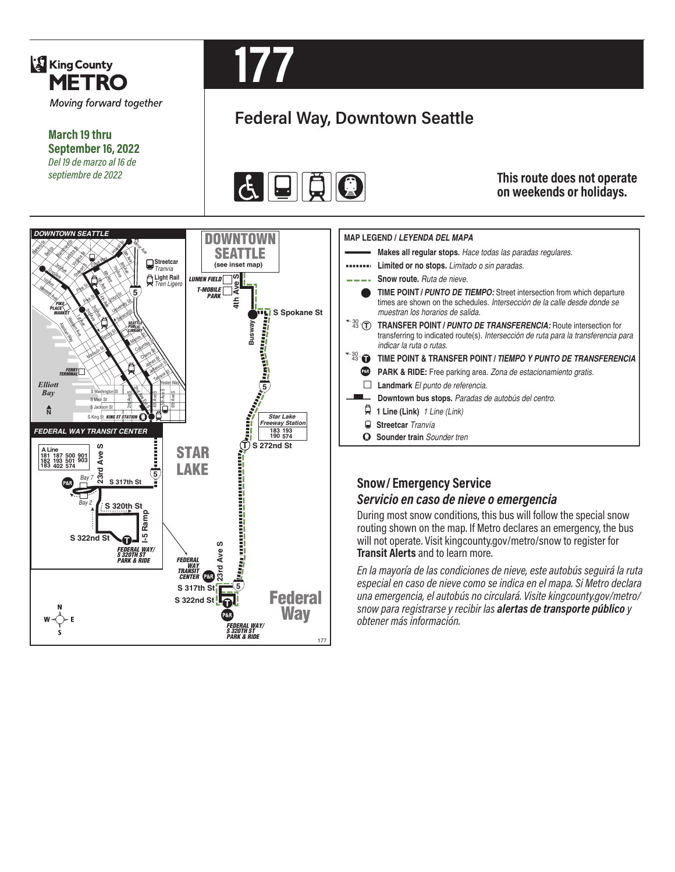